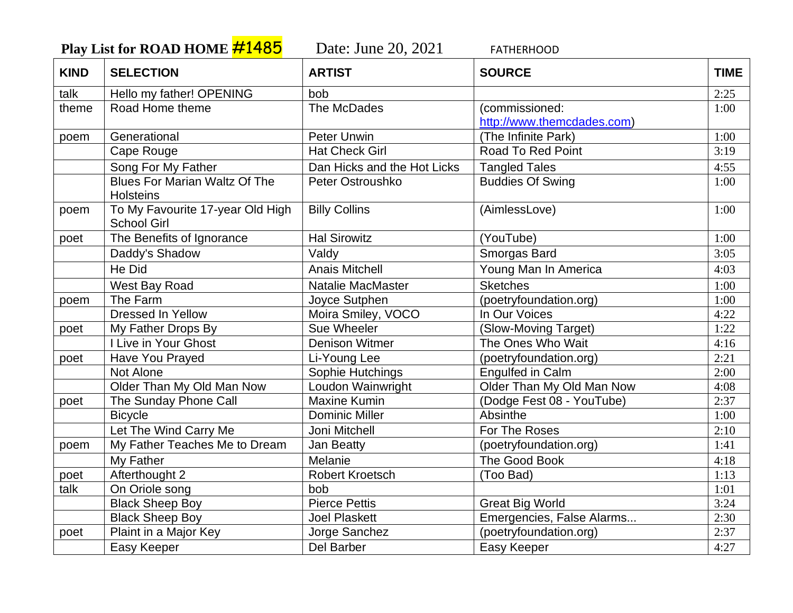Play List for ROAD HOME **#1485** Date: June 20, 2021 FATHERHOOD

| <b>KIND</b> | <b>SELECTION</b>                                         | <b>ARTIST</b>               | <b>SOURCE</b>                                | <b>TIME</b> |
|-------------|----------------------------------------------------------|-----------------------------|----------------------------------------------|-------------|
| talk        | Hello my father! OPENING                                 | bob                         |                                              | 2:25        |
| theme       | Road Home theme                                          | The McDades                 | (commissioned:<br>http://www.themcdades.com) | 1:00        |
| poem        | Generational                                             | Peter Unwin                 | (The Infinite Park)                          | 1:00        |
|             | Cape Rouge                                               | <b>Hat Check Girl</b>       | <b>Road To Red Point</b>                     | 3:19        |
|             | Song For My Father                                       | Dan Hicks and the Hot Licks | <b>Tangled Tales</b>                         | 4:55        |
|             | <b>Blues For Marian Waltz Of The</b><br><b>Holsteins</b> | Peter Ostroushko            | <b>Buddies Of Swing</b>                      | 1:00        |
| poem        | To My Favourite 17-year Old High<br><b>School Girl</b>   | <b>Billy Collins</b>        | (AimlessLove)                                | 1:00        |
| poet        | The Benefits of Ignorance                                | <b>Hal Sirowitz</b>         | (YouTube)                                    | 1:00        |
|             | Daddy's Shadow                                           | Valdy                       | Smorgas Bard                                 | 3:05        |
|             | He Did                                                   | <b>Anais Mitchell</b>       | Young Man In America                         | 4:03        |
|             | West Bay Road                                            | <b>Natalie MacMaster</b>    | <b>Sketches</b>                              | 1:00        |
| poem        | The Farm                                                 | Joyce Sutphen               | (poetryfoundation.org)                       | 1:00        |
|             | <b>Dressed In Yellow</b>                                 | Moira Smiley, VOCO          | In Our Voices                                | 4:22        |
| poet        | My Father Drops By                                       | Sue Wheeler                 | (Slow-Moving Target)                         | 1:22        |
|             | <b>I Live in Your Ghost</b>                              | <b>Denison Witmer</b>       | The Ones Who Wait                            | 4:16        |
| poet        | Have You Prayed                                          | Li-Young Lee                | (poetryfoundation.org)                       | 2:21        |
|             | Not Alone                                                | Sophie Hutchings            | Engulfed in Calm                             | 2:00        |
|             | Older Than My Old Man Now                                | Loudon Wainwright           | Older Than My Old Man Now                    | 4:08        |
| poet        | The Sunday Phone Call                                    | <b>Maxine Kumin</b>         | (Dodge Fest 08 - YouTube)                    | 2:37        |
|             | <b>Bicycle</b>                                           | <b>Dominic Miller</b>       | Absinthe                                     | 1:00        |
|             | Let The Wind Carry Me                                    | Joni Mitchell               | For The Roses                                | 2:10        |
| poem        | My Father Teaches Me to Dream                            | Jan Beatty                  | (poetryfoundation.org)                       | 1:41        |
|             | My Father                                                | Melanie                     | The Good Book                                | 4:18        |
| poet        | Afterthought 2                                           | <b>Robert Kroetsch</b>      | (Too Bad)                                    | 1:13        |
| talk        | On Oriole song                                           | bob                         |                                              | 1:01        |
|             | <b>Black Sheep Boy</b>                                   | <b>Pierce Pettis</b>        | <b>Great Big World</b>                       | 3:24        |
|             | <b>Black Sheep Boy</b>                                   | <b>Joel Plaskett</b>        | Emergencies, False Alarms                    | 2:30        |
| poet        | Plaint in a Major Key                                    | Jorge Sanchez               | (poetryfoundation.org)                       | 2:37        |
|             | Easy Keeper                                              | Del Barber                  | Easy Keeper                                  | 4:27        |